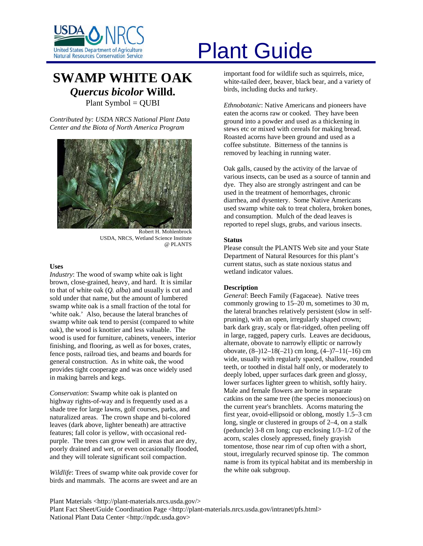

# **SWAMP WHITE OAK** *Quercus bicolor* **Willd.**  Plant Symbol = QUBI

*Contributed by: USDA NRCS National Plant Data Center and the Biota of North America Program* 



Robert H. Mohlenbrock USDA, NRCS, Wetland Science Institute @ PLANTS

### **Uses**

*Industry*: The wood of swamp white oak is light brown, close-grained, heavy, and hard. It is similar to that of white oak (*Q. alba*) and usually is cut and sold under that name, but the amount of lumbered swamp white oak is a small fraction of the total for 'white oak.' Also, because the lateral branches of swamp white oak tend to persist (compared to white oak), the wood is knottier and less valuable. The wood is used for furniture, cabinets, veneers, interior finishing, and flooring, as well as for boxes, crates, fence posts, railroad ties, and beams and boards for general construction. As in white oak, the wood provides tight cooperage and was once widely used in making barrels and kegs.

*Conservation*: Swamp white oak is planted on highway rights-of-way and is frequently used as a shade tree for large lawns, golf courses, parks, and naturalized areas. The crown shape and bi-colored leaves (dark above, lighter beneath) are attractive features; fall color is yellow, with occasional redpurple. The trees can grow well in areas that are dry, poorly drained and wet, or even occasionally flooded, and they will tolerate significant soil compaction.

*Wildlife*: Trees of swamp white oak provide cover for birds and mammals. The acorns are sweet and are an

# United States Department of Agriculture<br>Natural Resources Conservation Service

important food for wildlife such as squirrels, mice, white-tailed deer, beaver, black bear, and a variety of birds, including ducks and turkey.

*Ethnobotanic*: Native Americans and pioneers have eaten the acorns raw or cooked. They have been ground into a powder and used as a thickening in stews etc or mixed with cereals for making bread. Roasted acorns have been ground and used as a coffee substitute. Bitterness of the tannins is removed by leaching in running water.

Oak galls, caused by the activity of the larvae of various insects, can be used as a source of tannin and dye. They also are strongly astringent and can be used in the treatment of hemorrhages, chronic diarrhea, and dysentery. Some Native Americans used swamp white oak to treat cholera, broken bones, and consumption. Mulch of the dead leaves is reported to repel slugs, grubs, and various insects.

#### **Status**

Please consult the PLANTS Web site and your State Department of Natural Resources for this plant's current status, such as state noxious status and wetland indicator values.

# **Description**

*General*: Beech Family (Fagaceae). Native trees commonly growing to 15–20 m, sometimes to 30 m, the lateral branches relatively persistent (slow in selfpruning), with an open, irregularly shaped crown; bark dark gray, scaly or flat-ridged, often peeling off in large, ragged, papery curls. Leaves are deciduous, alternate, obovate to narrowly elliptic or narrowly obovate, (8–)12–18(–21) cm long, (4–)7–11(–16) cm wide, usually with regularly spaced, shallow, rounded teeth, or toothed in distal half only, or moderately to deeply lobed, upper surfaces dark green and glossy, lower surfaces lighter green to whitish, softly hairy. Male and female flowers are borne in separate catkins on the same tree (the species monoecious) on the current year's branchlets. Acorns maturing the first year, ovoid-ellipsoid or oblong, mostly 1.5–3 cm long, single or clustered in groups of 2–4, on a stalk (peduncle) 3-8 cm long; cup enclosing 1/3–1/2 of the acorn, scales closely appressed, finely grayish tomentose, those near rim of cup often with a short, stout, irregularly recurved spinose tip. The common name is from its typical habitat and its membership in the white oak subgroup.

Plant Materials <http://plant-materials.nrcs.usda.gov/> Plant Fact Sheet/Guide Coordination Page <http://plant-materials.nrcs.usda.gov/intranet/pfs.html> National Plant Data Center <http://npdc.usda.gov>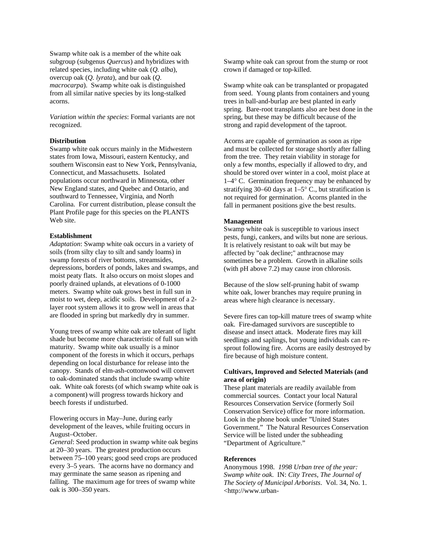Swamp white oak is a member of the white oak subgroup (subgenus *Quercus*) and hybridizes with related species, including white oak (*Q. alba*), overcup oak (*Q. lyrata*), and bur oak (*Q. macrocarpa*). Swamp white oak is distinguished from all similar native species by its long-stalked acorns.

*Variation within the species*: Formal variants are not recognized.

# **Distribution**

Swamp white oak occurs mainly in the Midwestern states from Iowa, Missouri, eastern Kentucky, and southern Wisconsin east to New York, Pennsylvania, Connecticut, and Massachusetts. Isolated populations occur northward in Minnesota, other New England states, and Quebec and Ontario, and southward to Tennessee, Virginia, and North Carolina. For current distribution, please consult the Plant Profile page for this species on the PLANTS Web site.

#### **Establishment**

*Adaptation*: Swamp white oak occurs in a variety of soils (from silty clay to silt and sandy loams) in swamp forests of river bottoms, streamsides, depressions, borders of ponds, lakes and swamps, and moist peaty flats. It also occurs on moist slopes and poorly drained uplands, at elevations of 0-1000 meters. Swamp white oak grows best in full sun in moist to wet, deep, acidic soils. Development of a 2 layer root system allows it to grow well in areas that are flooded in spring but markedly dry in summer.

Young trees of swamp white oak are tolerant of light shade but become more characteristic of full sun with maturity. Swamp white oak usually is a minor component of the forests in which it occurs, perhaps depending on local disturbance for release into the canopy. Stands of elm-ash-cottonwood will convert to oak-dominated stands that include swamp white oak. White oak forests (of which swamp white oak is a component) will progress towards hickory and beech forests if undisturbed.

Flowering occurs in May–June, during early development of the leaves, while fruiting occurs in August–October.

*General*: Seed production in swamp white oak begins at 20–30 years. The greatest production occurs between 75–100 years; good seed crops are produced every 3–5 years. The acorns have no dormancy and may germinate the same season as ripening and falling. The maximum age for trees of swamp white oak is 300–350 years.

Swamp white oak can sprout from the stump or root crown if damaged or top-killed.

Swamp white oak can be transplanted or propagated from seed. Young plants from containers and young trees in ball-and-burlap are best planted in early spring. Bare-root transplants also are best done in the spring, but these may be difficult because of the strong and rapid development of the taproot.

Acorns are capable of germination as soon as ripe and must be collected for storage shortly after falling from the tree. They retain viability in storage for only a few months, especially if allowed to dry, and should be stored over winter in a cool, moist place at 1–4° C. Germination frequency may be enhanced by stratifying 30–60 days at 1–5° C., but stratification is not required for germination. Acorns planted in the fall in permanent positions give the best results.

#### **Management**

Swamp white oak is susceptible to various insect pests, fungi, cankers, and wilts but none are serious. It is relatively resistant to oak wilt but may be affected by "oak decline;" anthracnose may sometimes be a problem. Growth in alkaline soils (with pH above 7.2) may cause iron chlorosis.

Because of the slow self-pruning habit of swamp white oak, lower branches may require pruning in areas where high clearance is necessary.

Severe fires can top-kill mature trees of swamp white oak. Fire-damaged survivors are susceptible to disease and insect attack. Moderate fires may kill seedlings and saplings, but young individuals can resprout following fire. Acorns are easily destroyed by fire because of high moisture content.

# **Cultivars, Improved and Selected Materials (and area of origin)**

These plant materials are readily available from commercial sources. Contact your local Natural Resources Conservation Service (formerly Soil Conservation Service) office for more information. Look in the phone book under "United States Government." The Natural Resources Conservation Service will be listed under the subheading "Department of Agriculture."

# **References**

Anonymous 1998. *1998 Urban tree of the year: Swamp white oak*. IN: *City Trees, The Journal of The Society of Municipal Arborists*. Vol. 34, No. 1. <http://www.urban